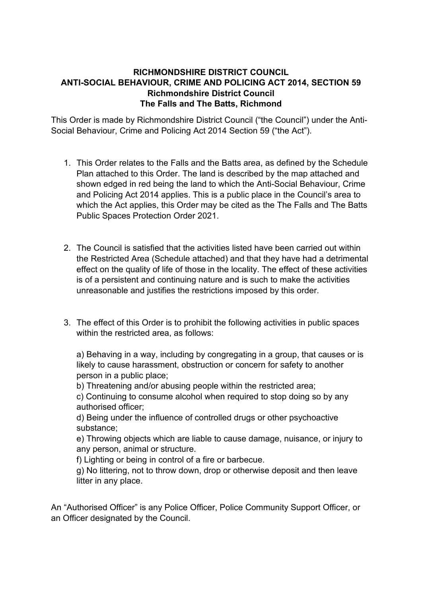## **RICHMONDSHIRE DISTRICT COUNCIL ANTI-SOCIAL BEHAVIOUR, CRIME AND POLICING ACT 2014, SECTION 59 Richmondshire District Council The Falls and The Batts, Richmond**

This Order is made by Richmondshire District Council ("the Council") under the Anti-Social Behaviour, Crime and Policing Act 2014 Section 59 ("the Act").

- 1. This Order relates to the Falls and the Batts area, as defined by the Schedule Plan attached to this Order. The land is described by the map attached and shown edged in red being the land to which the Anti-Social Behaviour, Crime and Policing Act 2014 applies. This is a public place in the Council's area to which the Act applies, this Order may be cited as the The Falls and The Batts Public Spaces Protection Order 2021.
- 2. The Council is satisfied that the activities listed have been carried out within the Restricted Area (Schedule attached) and that they have had a detrimental effect on the quality of life of those in the locality. The effect of these activities is of a persistent and continuing nature and is such to make the activities unreasonable and justifies the restrictions imposed by this order.
- 3. The effect of this Order is to prohibit the following activities in public spaces within the restricted area, as follows:

a) Behaving in a way, including by congregating in a group, that causes or is likely to cause harassment, obstruction or concern for safety to another person in a public place;

b) Threatening and/or abusing people within the restricted area;

c) Continuing to consume alcohol when required to stop doing so by any authorised officer;

d) Being under the influence of controlled drugs or other psychoactive substance;

e) Throwing objects which are liable to cause damage, nuisance, or injury to any person, animal or structure.

f) Lighting or being in control of a fire or barbecue.

g) No littering, not to throw down, drop or otherwise deposit and then leave litter in any place.

An "Authorised Officer" is any Police Officer, Police Community Support Officer, or an Officer designated by the Council.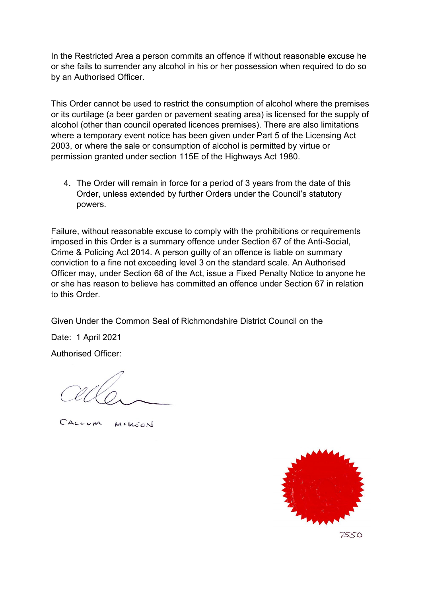In the Restricted Area a person commits an offence if without reasonable excuse he or she fails to surrender any alcohol in his or her possession when required to do so by an Authorised Officer.

This Order cannot be used to restrict the consumption of alcohol where the premises or its curtilage (a beer garden or pavement seating area) is licensed for the supply of alcohol (other than council operated licences premises). There are also limitations where a temporary event notice has been given under Part 5 of the Licensing Act 2003, or where the sale or consumption of alcohol is permitted by virtue or permission granted under section 115E of the Highways Act 1980.

4. The Order will remain in force for a period of 3 years from the date of this Order, unless extended by further Orders under the Council's statutory powers.

Failure, without reasonable excuse to comply with the prohibitions or requirements imposed in this Order is a summary offence under Section 67 of the Anti-Social, Crime & Policing Act 2014. A person guilty of an offence is liable on summary conviction to a fine not exceeding level 3 on the standard scale. An Authorised Officer may, under Section 68 of the Act, issue a Fixed Penalty Notice to anyone he or she has reason to believe has committed an offence under Section 67 in relation to this Order.

Given Under the Common Seal of Richmondshire District Council on the

Date: 1 April 2021

Authorised Officer:

MCKEON